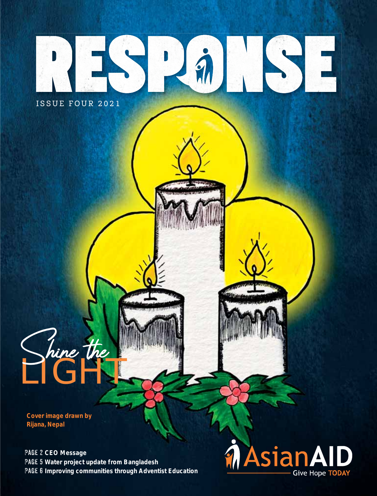

**Cover image drawn by Rijana, Nepal**

LIGHT

Shine the

**Page 2 CEO Message Page 5 Water project update from Bangladesh Page 6 Improving communities through Adventist Education**

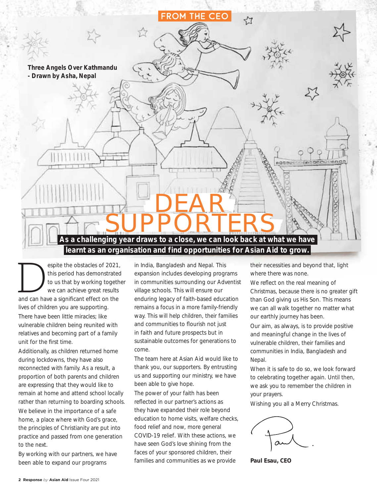

espite the obstacles of 2021,<br>
this period has demonstrated<br>
to us that by working togethe<br>
we can achieve great results<br>
and can have a significant effect on the this period has demonstrated to us that by working together we can achieve great results lives of children you are supporting. There have been little miracles; like vulnerable children being reunited with relatives and becoming part of a family unit for the first time.

Additionally, as children returned home during lockdowns, they have also reconnected with family. As a result, a proportion of both parents and children are expressing that they would like to remain at home and attend school locally rather than returning to boarding schools.

We believe in the importance of a safe home, a place where with God's grace, the principles of Christianity are put into practice and passed from one generation to the next.

By working with our partners, we have been able to expand our programs

in India, Bangladesh and Nepal. This expansion includes developing programs in communities surrounding our Adventist village schools. This will ensure our enduring legacy of faith-based education remains a focus in a more family-friendly way. This will help children, their families and communities to flourish not just in faith and future prospects but in sustainable outcomes for generations to come.

The team here at Asian Aid would like to thank you, our supporters. By entrusting us and supporting our ministry, we have been able to give hope.

The power of your faith has been reflected in our partner's actions as they have expanded their role beyond education to home visits, welfare checks, food relief and now, more general COVID-19 relief. With these actions, we have seen God's love shining from the faces of your sponsored children, their families and communities as we provide

their necessities and beyond that, light where there was none.

We reflect on the real meaning of Christmas, because there is no greater gift than God giving us His Son. This means we can all walk together no matter what our earthly journey has been.

Our aim, as always, is to provide positive and meaningful change in the lives of vulnerable children, their families and communities in India, Bangladesh and Nepal.

When it is safe to do so, we look forward to celebrating together again. Until then, we ask you to remember the children in your prayers.

Wishing you all a Merry Christmas.

**Paul Esau, CEO**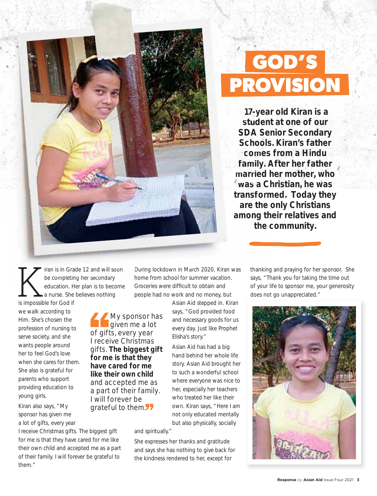

# **GOD'S PROVISION**

 **17-year old Kiran is a 17-y student at one of our stud SDA Senior Secondary SDA S Schools. Kiran's father Schoo comes from a Hindu come family. After her father family married her mother, who married** was a Christian, he was **transformed. Today they transfor are the only Christians the among their relatives and t the community.** 

I iran is in Grade 12 and will soon<br>be completing her secondary<br>education. Her plan is to become<br>is impossible for God if be completing her secondary completing her second education. Her plan is to become a nurse. She believes nothing is impossible for God if

we walk according to Him. She's chosen the profession of nursing to serve society, and she wants people around her to feel God's love when she cares for them. She also is grateful for parents who support providing education to young girls.

Kiran also says, "My sponsor has given me a lot of gifts, every year

I receive Christmas gifts. The biggest gift for me is that they have cared for me like their own child and accepted me as a part of their family. I will forever be grateful to them."

During lockdown in March 2020, Kiran was home from school for summer vacation. Groceries were difficult to obtain and people had no work and no money, but

> Asian Aid stepped in. Kiran says, "God provided food and necessary goods for us every day. Just like Prophet Elisha's story."

Asian Aid has had a big hand behind her whole life story. Asian Aid brought her to such a wonderful school where everyone was nice to her, especially her teachers who treated her like their own. Kiran says, "Here I am not only educated mentally but also physically, socially

and spiritually."

My sponsor has given me a lot

of gifts, every year I receive Christmas gifts. **The biggest gift for me is that they have cared for me like their own child** and accepted me as a part of their family. I will forever be grateful to them.<sup>77</sup>

> She expresses her thanks and gratitude and says she has nothing to give back for the kindness rendered to her, except for

thanking and praying for her sponsor. She says, "Thank you for taking the time out of your life to sponsor me, your generosity does not go unappreciated."

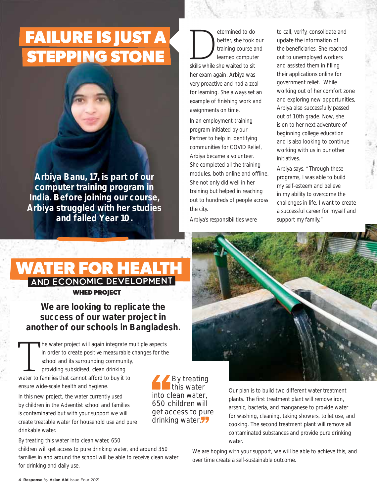# **FAILURE IS JUST A STEPPING STONE**

**Arbiya Banu, 17, is part of our computer training program in India. Before joining our course, Arbiya struggled with her studies and failed Year 10.** 

etermined to do<br>
better, she took<br>
training course a<br>
learned compute<br>
skills while she waited to sit better, she took our training course and learned computer her exam again. Arbiya was very proactive and had a zeal p for learning. She always set an example of finishing work and assignments on time. assign

In an employment-training program initiated by our progr Partner to help in identifying Partn communities for COVID Relief, comm Arbiya became a volunteer. Arbiy She completed all the training modules, both online and offline. She not only did well in her n training but helped in reaching traini out to hundreds of people across the city.

Arbiya's responsibilities were Arbiy

to call, verify, consolidate and update the information of the beneficiaries. She reached out to unemployed workers and assisted them in filling their applications online for government relief. While working out of her comfort zone and exploring new opportunities, Arbiya also successfully passed out of 10th grade. Now, she is on to her next adventure of beginning college education and is also looking to continue working with us in our other initiatives.

Arbiya says, "Through these programs, I was able to build my self-esteem and believe in my ability to overcome the challenges in life. I want to create a successful career for myself and support my family."

### **WHED PROJECT WATER FOR HEALTH** AND ECONOMIC DEVELOPMENT

#### **We are looking to replicate the success of our water project in another of our schools in Bangladesh.**

The water project will again integrate multiple aspects<br>in order to create positive measurable changes for the<br>school and its surrounding community,<br>providing subsidised, clean drinking<br>water to families that cannot afford in order to create positive measurable changes for the school and its surrounding community, providing subsidised, clean drinking

water to families that cannot afford to buy it to ensure wide-scale health and hygiene.

In this new project, the water currently used by children in the Adventist school and families is contaminated but with your support we will create treatable water for household use and pure drinkable water.

By treating this water into clean water, 650

children will get access to pure drinking water, and around 350 families in and around the school will be able to receive clean water for drinking and daily use.

By treating this water into clean water, 650 children will get access to pure drinking water.<sup>7</sup>7

Our plan is to build two different water treatment plants. The first treatment plant will remove iron, arsenic, bacteria, and manganese to provide water for washing, cleaning, taking showers, toilet use, and cooking. The second treatment plant will remove all contaminated substances and provide pure drinking water.

We are hoping with your support, we will be able to achieve this, and over time create a self-sustainable outcome.

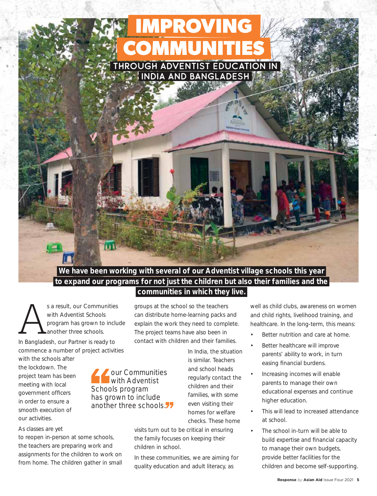### through Adventist Education in **IMPROVING COMMUNITIES**

India and Bangladesh

#### **We have been working with several of our Adventist village schools this year to expand our programs for not just the children but also their families and the communities in which they live.**

s a result, our Communities<br>
with Adventist Schools<br>
program has grown to inclue<br>
In Bangladesh, our Partner is ready to with Adventist Schools program has grown to include another three schools.

commence a number of project activities

with the schools after the lockdown. The project team has been meeting with local government officers in order to ensure a smooth execution of our activities.

#### As classes are yet

to reopen in-person at some schools, the teachers are preparing work and assignments for the children to work on from home. The children gather in small groups at the school so the teachers can distribute home-learning packs and explain the work they need to complete. The project teams have also been in contact with children and their families.

our Communities with Adventist

Schools program has grown to include another three schools.<sup>77</sup> In India, the situation is similar. Teachers and school heads regularly contact the children and their families, with some even visiting their homes for welfare checks. These home

visits turn out to be critical in ensuring the family focuses on keeping their children in school.

In these communities, we are aiming for quality education and adult literacy, as

well as child clubs, awareness on women and child rights, livelihood training, and healthcare. In the long-term, this means:

- Better nutrition and care at home.
- Better healthcare will improve parents' ability to work, in turn easing financial burdens.
- Increasing incomes will enable parents to manage their own educational expenses and continue higher education.
- This will lead to increased attendance at school.
- The school in-turn will be able to build expertise and financial capacity to manage their own budgets, provide better facilities for the children and become self-supporting.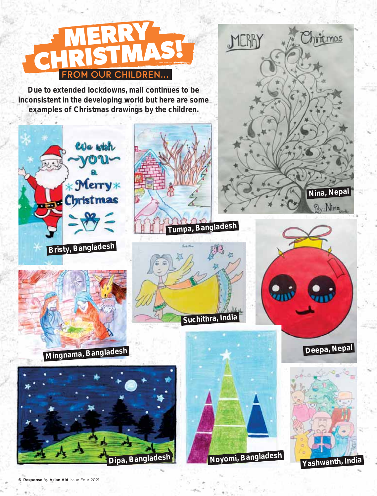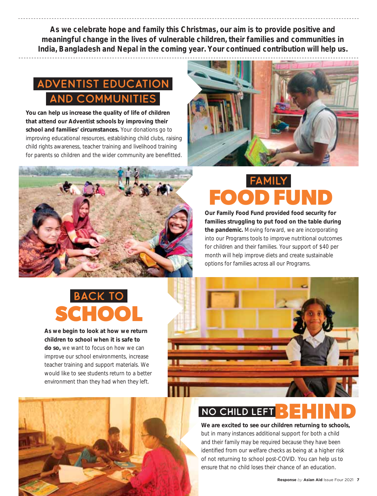**As we celebrate hope and family this Christmas, our aim is to provide positive and meaningful change in the lives of vulnerable children, their families and communities in India, Bangladesh and Nepal in the coming year. Your continued contribution will help us.**

### Adventist Education **AND COMMUNITIES**

**You can help us increase the quality of life of children that attend our Adventist schools by improving their school and families' circumstances.** Your donations go to improving educational resources, establishing child clubs, raising child rights awareness, teacher training and livelihood training for parents so children and the wider community are benefitted.





# family **FOOD FUND**

**Our Family Food Fund provided food security for families struggling to put food on the table during the pandemic.** Moving forward, we are incorporating into our Programs tools to improve nutritional outcomes for children and their families. Your support of \$40 per month will help improve diets and create sustainable options for families across all our Programs.

## back to **SCHOOL**

**As we begin to look at how we return children to school when it is safe to do so,** we want to focus on how we can improve our school environments, increase teacher training and support materials. We would like to see students return to a better environment than they had when they left.



### NO CHILD LEFT :

**We are excited to see our children returning to schools,** but in many instances additional support for both a child and their family may be required because they have been identified from our welfare checks as being at a higher risk of not returning to school post-COVID. You can help us to ensure that no child loses their chance of an education.